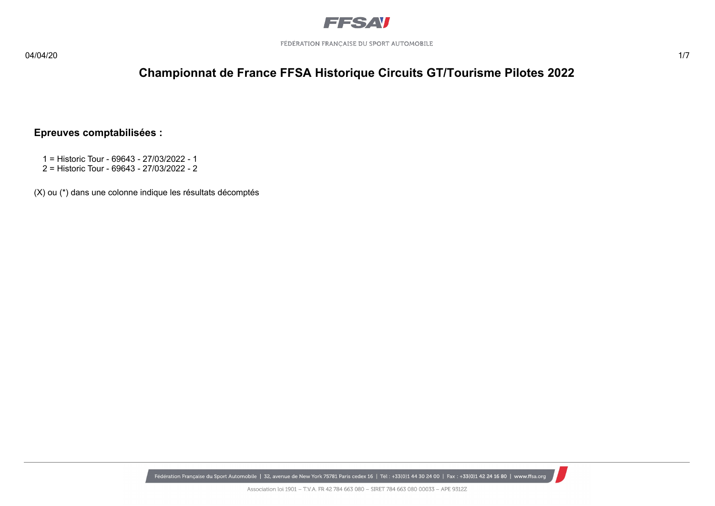

### **Championnat de France FFSA Historique Circuits GT/Tourisme Pilotes 2022**

#### **Epreuves comptabilisées :**

- 1 = Historic Tour 69643 27/03/2022 1
- 2 = Historic Tour 69643 27/03/2022 2

(X) ou (\*) dans une colonne indique les résultats décomptés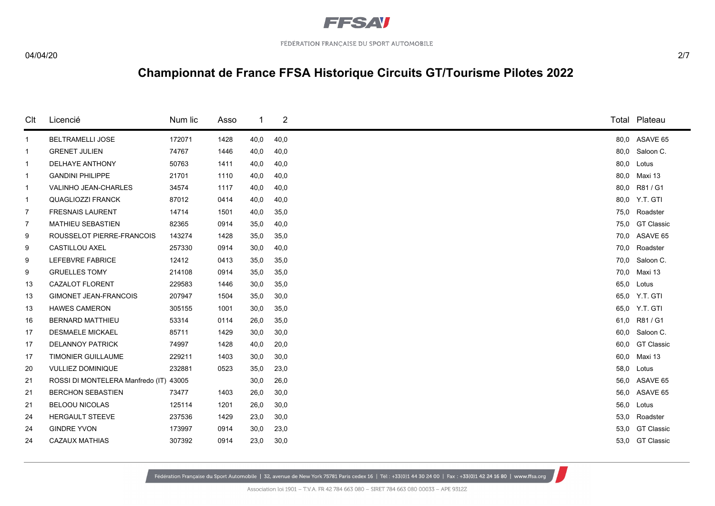

#### 04/04/20 2/7

# **Championnat de France FFSA Historique Circuits GT/Tourisme Pilotes 2022**

| Clt          | Licencié                         | Num lic | Asso |      | 2    |      | Total Plateau     |
|--------------|----------------------------------|---------|------|------|------|------|-------------------|
| $\mathbf{1}$ | <b>BELTRAMELLI JOSE</b>          | 172071  | 1428 | 40,0 | 40,0 |      | 80,0 ASAVE 65     |
| 1            | <b>GRENET JULIEN</b>             | 74767   | 1446 | 40,0 | 40,0 | 80,0 | Saloon C.         |
| $\mathbf{1}$ | <b>DELHAYE ANTHONY</b>           | 50763   | 1411 | 40,0 | 40,0 | 80,0 | Lotus             |
| $\mathbf{1}$ | <b>GANDINI PHILIPPE</b>          | 21701   | 1110 | 40,0 | 40,0 | 80,0 | Maxi 13           |
| $\mathbf{1}$ | <b>VALINHO JEAN-CHARLES</b>      | 34574   | 1117 | 40,0 | 40,0 | 80,0 | R81 / G1          |
| $\mathbf{1}$ | <b>QUAGLIOZZI FRANCK</b>         | 87012   | 0414 | 40,0 | 40,0 |      | 80.0 Y.T. GTI     |
| 7            | <b>FRESNAIS LAURENT</b>          | 14714   | 1501 | 40,0 | 35,0 | 75,0 | Roadster          |
| 7            | <b>MATHIEU SEBASTIEN</b>         | 82365   | 0914 | 35,0 | 40,0 | 75,0 | <b>GT Classic</b> |
| 9            | ROUSSELOT PIERRE-FRANCOIS        | 143274  | 1428 | 35,0 | 35,0 |      | 70,0 ASAVE 65     |
| 9            | <b>CASTILLOU AXEL</b>            | 257330  | 0914 | 30,0 | 40,0 | 70,0 | Roadster          |
| 9            | <b>LEFEBVRE FABRICE</b>          | 12412   | 0413 | 35,0 | 35,0 | 70,0 | Saloon C.         |
| 9            | <b>GRUELLES TOMY</b>             | 214108  | 0914 | 35,0 | 35,0 | 70,0 | Maxi 13           |
| 13           | <b>CAZALOT FLORENT</b>           | 229583  | 1446 | 30,0 | 35,0 | 65,0 | Lotus             |
| 13           | <b>GIMONET JEAN-FRANCOIS</b>     | 207947  | 1504 | 35,0 | 30,0 |      | 65,0 Y.T. GTI     |
| 13           | <b>HAWES CAMERON</b>             | 305155  | 1001 | 30,0 | 35,0 |      | 65.0 Y.T. GTI     |
| 16           | <b>BERNARD MATTHIEU</b>          | 53314   | 0114 | 26,0 | 35,0 | 61,0 | R81 / G1          |
| 17           | <b>DESMAELE MICKAEL</b>          | 85711   | 1429 | 30,0 | 30,0 | 60,0 | Saloon C.         |
| 17           | <b>DELANNOY PATRICK</b>          | 74997   | 1428 | 40,0 | 20,0 | 60,0 | <b>GT Classic</b> |
| 17           | <b>TIMONIER GUILLAUME</b>        | 229211  | 1403 | 30,0 | 30,0 | 60,0 | Maxi 13           |
| 20           | <b>VULLIEZ DOMINIQUE</b>         | 232881  | 0523 | 35,0 | 23,0 | 58,0 | Lotus             |
| 21           | ROSSI DI MONTELERA Manfredo (IT) | 43005   |      | 30,0 | 26,0 | 56,0 | ASAVE 65          |
| 21           | <b>BERCHON SEBASTIEN</b>         | 73477   | 1403 | 26,0 | 30,0 | 56,0 | ASAVE 65          |
| 21           | <b>BELOOU NICOLAS</b>            | 125114  | 1201 | 26,0 | 30,0 | 56,0 | Lotus             |
| 24           | <b>HERGAULT STEEVE</b>           | 237536  | 1429 | 23,0 | 30,0 | 53,0 | Roadster          |
| 24           | <b>GINDRE YVON</b>               | 173997  | 0914 | 30,0 | 23,0 | 53,0 | <b>GT Classic</b> |
| 24           | <b>CAZAUX MATHIAS</b>            | 307392  | 0914 | 23,0 | 30,0 |      | 53,0 GT Classic   |
|              |                                  |         |      |      |      |      |                   |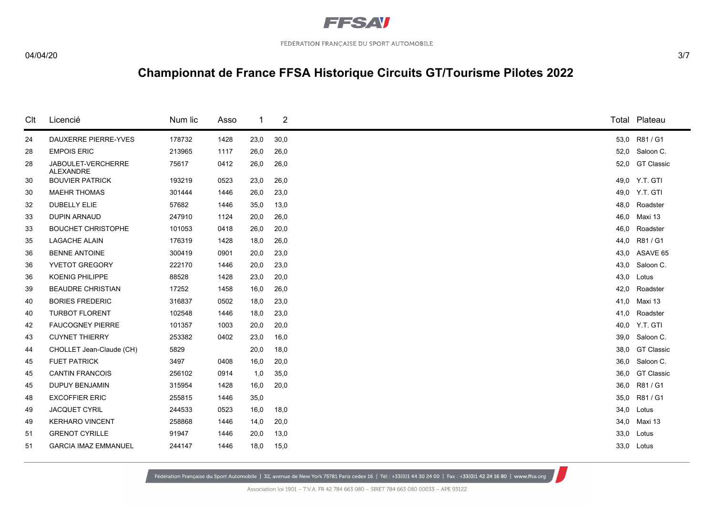

#### 04/04/20 3/7

# **Championnat de France FFSA Historique Circuits GT/Tourisme Pilotes 2022**

| Clt | Licencié                        | Num lic | Asso |      | 2    |      | Total Plateau     |
|-----|---------------------------------|---------|------|------|------|------|-------------------|
| 24  | <b>DAUXERRE PIERRE-YVES</b>     | 178732  | 1428 | 23,0 | 30,0 |      | 53,0 R81/G1       |
| 28  | <b>EMPOIS ERIC</b>              | 213965  | 1117 | 26,0 | 26,0 |      | 52,0 Saloon C.    |
| 28  | JABOULET-VERCHERRE<br>ALEXANDRE | 75617   | 0412 | 26,0 | 26,0 |      | 52,0 GT Classic   |
| 30  | <b>BOUVIER PATRICK</b>          | 193219  | 0523 | 23,0 | 26,0 |      | 49,0 Y.T. GTI     |
| 30  | <b>MAEHR THOMAS</b>             | 301444  | 1446 | 26,0 | 23,0 |      | 49,0 Y.T. GTI     |
| 32  | <b>DUBELLY ELIE</b>             | 57682   | 1446 | 35,0 | 13,0 | 48.0 | Roadster          |
| 33  | <b>DUPIN ARNAUD</b>             | 247910  | 1124 | 20,0 | 26,0 | 46,0 | Maxi 13           |
| 33  | <b>BOUCHET CHRISTOPHE</b>       | 101053  | 0418 | 26,0 | 20,0 | 46,0 | Roadster          |
| 35  | <b>LAGACHE ALAIN</b>            | 176319  | 1428 | 18,0 | 26,0 | 44,0 | R81 / G1          |
| 36  | <b>BENNE ANTOINE</b>            | 300419  | 0901 | 20,0 | 23,0 | 43,0 | ASAVE 65          |
| 36  | YVETOT GREGORY                  | 222170  | 1446 | 20,0 | 23,0 | 43,0 | Saloon C.         |
| 36  | <b>KOENIG PHILIPPE</b>          | 88528   | 1428 | 23,0 | 20,0 | 43,0 | Lotus             |
| 39  | <b>BEAUDRE CHRISTIAN</b>        | 17252   | 1458 | 16,0 | 26,0 | 42,0 | Roadster          |
| 40  | <b>BORIES FREDERIC</b>          | 316837  | 0502 | 18,0 | 23,0 |      | 41,0 Maxi 13      |
| 40  | <b>TURBOT FLORENT</b>           | 102548  | 1446 | 18,0 | 23,0 | 41,0 | Roadster          |
| 42  | <b>FAUCOGNEY PIERRE</b>         | 101357  | 1003 | 20,0 | 20,0 | 40.0 | Y.T. GTI          |
| 43  | <b>CUYNET THIERRY</b>           | 253382  | 0402 | 23,0 | 16,0 | 39,0 | Saloon C.         |
| 44  | CHOLLET Jean-Claude (CH)        | 5829    |      | 20,0 | 18,0 | 38,0 | <b>GT Classic</b> |
| 45  | <b>FUET PATRICK</b>             | 3497    | 0408 | 16,0 | 20,0 | 36,0 | Saloon C.         |
| 45  | <b>CANTIN FRANCOIS</b>          | 256102  | 0914 | 1,0  | 35,0 | 36.0 | <b>GT Classic</b> |
| 45  | <b>DUPUY BENJAMIN</b>           | 315954  | 1428 | 16,0 | 20,0 | 36,0 | R81 / G1          |
| 48  | <b>EXCOFFIER ERIC</b>           | 255815  | 1446 | 35,0 |      | 35,0 | R81 / G1          |
| 49  | <b>JACQUET CYRIL</b>            | 244533  | 0523 | 16,0 | 18,0 | 34,0 | Lotus             |
| 49  | <b>KERHARO VINCENT</b>          | 258868  | 1446 | 14,0 | 20,0 | 34,0 | Maxi 13           |
| 51  | <b>GRENOT CYRILLE</b>           | 91947   | 1446 | 20,0 | 13,0 | 33,0 | Lotus             |
| 51  | <b>GARCIA IMAZ EMMANUEL</b>     | 244147  | 1446 | 18,0 | 15,0 |      | 33,0 Lotus        |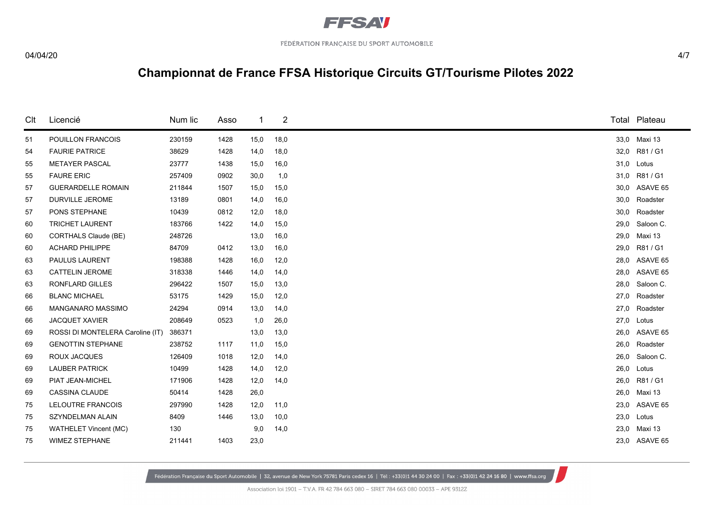

#### 04/04/20 4/7

# **Championnat de France FFSA Historique Circuits GT/Tourisme Pilotes 2022**

| Clt | Licencié                         | Num lic | Asso |      | $\overline{2}$ |      |              | Total Plateau  |
|-----|----------------------------------|---------|------|------|----------------|------|--------------|----------------|
| 51  | POUILLON FRANCOIS                | 230159  | 1428 | 15,0 | 18,0           |      | 33,0 Maxi 13 |                |
| 54  | <b>FAURIE PATRICE</b>            | 38629   | 1428 | 14,0 | 18,0           | 32,0 |              | R81 / G1       |
| 55  | <b>METAYER PASCAL</b>            | 23777   | 1438 | 15,0 | 16,0           |      | 31,0 Lotus   |                |
| 55  | <b>FAURE ERIC</b>                | 257409  | 0902 | 30,0 | 1,0            | 31,0 |              | R81 / G1       |
| 57  | <b>GUERARDELLE ROMAIN</b>        | 211844  | 1507 | 15,0 | 15,0           | 30,0 |              | ASAVE 65       |
| 57  | <b>DURVILLE JEROME</b>           | 13189   | 0801 | 14,0 | 16,0           | 30,0 |              | Roadster       |
| 57  | PONS STEPHANE                    | 10439   | 0812 | 12,0 | 18,0           | 30,0 |              | Roadster       |
| 60  | <b>TRICHET LAURENT</b>           | 183766  | 1422 | 14,0 | 15,0           | 29,0 |              | Saloon C.      |
| 60  | CORTHALS Claude (BE)             | 248726  |      | 13,0 | 16,0           | 29,0 |              | Maxi 13        |
| 60  | <b>ACHARD PHILIPPE</b>           | 84709   | 0412 | 13,0 | 16,0           | 29,0 |              | R81 / G1       |
| 63  | PAULUS LAURENT                   | 198388  | 1428 | 16,0 | 12,0           |      |              | 28,0 ASAVE 65  |
| 63  | <b>CATTELIN JEROME</b>           | 318338  | 1446 | 14,0 | 14,0           | 28,0 |              | ASAVE 65       |
| 63  | RONFLARD GILLES                  | 296422  | 1507 | 15,0 | 13,0           | 28,0 |              | Saloon C.      |
| 66  | <b>BLANC MICHAEL</b>             | 53175   | 1429 | 15,0 | 12,0           | 27.0 |              | Roadster       |
| 66  | MANGANARO MASSIMO                | 24294   | 0914 | 13,0 | 14,0           | 27,0 |              | Roadster       |
| 66  | <b>JACQUET XAVIER</b>            | 208649  | 0523 | 1,0  | 26,0           | 27,0 |              | Lotus          |
| 69  | ROSSI DI MONTELERA Caroline (IT) | 386371  |      | 13,0 | 13,0           | 26,0 |              | ASAVE 65       |
| 69  | <b>GENOTTIN STEPHANE</b>         | 238752  | 1117 | 11,0 | 15,0           | 26,0 |              | Roadster       |
| 69  | ROUX JACQUES                     | 126409  | 1018 | 12,0 | 14,0           |      |              | 26,0 Saloon C. |
| 69  | <b>LAUBER PATRICK</b>            | 10499   | 1428 | 14,0 | 12,0           | 26,0 | Lotus        |                |
| 69  | PIAT JEAN-MICHEL                 | 171906  | 1428 | 12,0 | 14,0           | 26,0 |              | R81 / G1       |
| 69  | <b>CASSINA CLAUDE</b>            | 50414   | 1428 | 26,0 |                |      | 26,0 Maxi 13 |                |
| 75  | LELOUTRE FRANCOIS                | 297990  | 1428 | 12,0 | 11,0           | 23,0 |              | ASAVE 65       |
| 75  | SZYNDELMAN ALAIN                 | 8409    | 1446 | 13,0 | 10,0           | 23,0 | Lotus        |                |
| 75  | WATHELET Vincent (MC)            | 130     |      | 9,0  | 14,0           | 23,0 |              | Maxi 13        |
| 75  | <b>WIMEZ STEPHANE</b>            | 211441  | 1403 | 23,0 |                |      |              | 23,0 ASAVE 65  |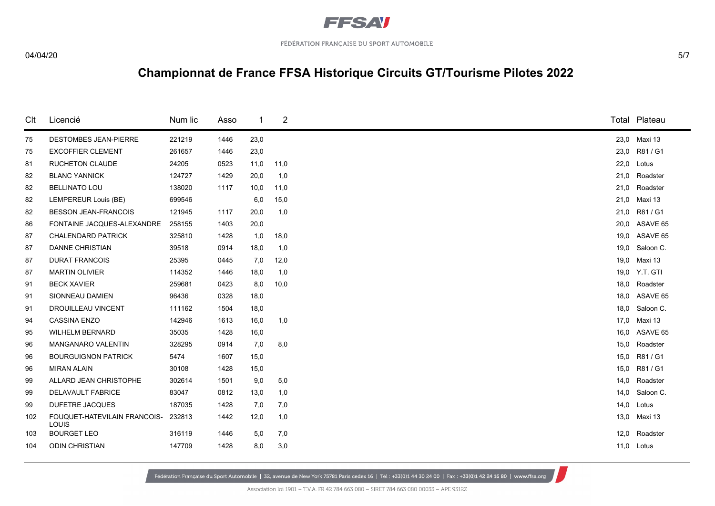

#### 04/04/20 5/7

# **Championnat de France FFSA Historique Circuits GT/Tourisme Pilotes 2022**

| Clt | Licencié                                     | Num lic | Asso | -1   | 2    |      | Total Plateau  |
|-----|----------------------------------------------|---------|------|------|------|------|----------------|
| 75  | <b>DESTOMBES JEAN-PIERRE</b>                 | 221219  | 1446 | 23,0 |      |      | 23,0 Maxi 13   |
| 75  | <b>EXCOFFIER CLEMENT</b>                     | 261657  | 1446 | 23,0 |      | 23,0 | R81 / G1       |
| 81  | <b>RUCHETON CLAUDE</b>                       | 24205   | 0523 | 11,0 | 11,0 |      | 22,0 Lotus     |
| 82  | <b>BLANC YANNICK</b>                         | 124727  | 1429 | 20,0 | 1,0  | 21,0 | Roadster       |
| 82  | <b>BELLINATO LOU</b>                         | 138020  | 1117 | 10,0 | 11,0 | 21,0 | Roadster       |
| 82  | LEMPEREUR Louis (BE)                         | 699546  |      | 6,0  | 15,0 |      | 21,0 Maxi 13   |
| 82  | <b>BESSON JEAN-FRANCOIS</b>                  | 121945  | 1117 | 20,0 | 1,0  | 21,0 | R81 / G1       |
| 86  | FONTAINE JACQUES-ALEXANDRE                   | 258155  | 1403 | 20,0 |      |      | 20,0 ASAVE 65  |
| 87  | <b>CHALENDARD PATRICK</b>                    | 325810  | 1428 | 1,0  | 18,0 |      | 19,0 ASAVE 65  |
| 87  | <b>DANNE CHRISTIAN</b>                       | 39518   | 0914 | 18,0 | 1,0  | 19,0 | Saloon C.      |
| 87  | <b>DURAT FRANCOIS</b>                        | 25395   | 0445 | 7,0  | 12,0 |      | 19,0 Maxi 13   |
| 87  | <b>MARTIN OLIVIER</b>                        | 114352  | 1446 | 18,0 | 1,0  |      | 19,0 Y.T. GTI  |
| 91  | <b>BECK XAVIER</b>                           | 259681  | 0423 | 8,0  | 10,0 | 18,0 | Roadster       |
| 91  | SIONNEAU DAMIEN                              | 96436   | 0328 | 18,0 |      |      | 18,0 ASAVE 65  |
| 91  | <b>DROUILLEAU VINCENT</b>                    | 111162  | 1504 | 18,0 |      |      | 18,0 Saloon C. |
| 94  | <b>CASSINA ENZO</b>                          | 142946  | 1613 | 16,0 | 1,0  | 17,0 | Maxi 13        |
| 95  | <b>WILHELM BERNARD</b>                       | 35035   | 1428 | 16,0 |      |      | 16,0 ASAVE 65  |
| 96  | <b>MANGANARO VALENTIN</b>                    | 328295  | 0914 | 7,0  | 8,0  | 15,0 | Roadster       |
| 96  | <b>BOURGUIGNON PATRICK</b>                   | 5474    | 1607 | 15,0 |      | 15,0 | R81 / G1       |
| 96  | <b>MIRAN ALAIN</b>                           | 30108   | 1428 | 15,0 |      | 15,0 | R81 / G1       |
| 99  | ALLARD JEAN CHRISTOPHE                       | 302614  | 1501 | 9,0  | 5,0  | 14,0 | Roadster       |
| 99  | <b>DELAVAULT FABRICE</b>                     | 83047   | 0812 | 13,0 | 1,0  | 14.0 | Saloon C.      |
| 99  | DUFETRE JACQUES                              | 187035  | 1428 | 7,0  | 7,0  | 14,0 | Lotus          |
| 102 | FOUQUET-HATEVILAIN FRANCOIS-<br><b>LOUIS</b> | 232813  | 1442 | 12,0 | 1,0  |      | 13,0 Maxi 13   |
| 103 | <b>BOURGET LEO</b>                           | 316119  | 1446 | 5,0  | 7,0  | 12,0 | Roadster       |
| 104 | <b>ODIN CHRISTIAN</b>                        | 147709  | 1428 | 8,0  | 3,0  |      | 11,0 Lotus     |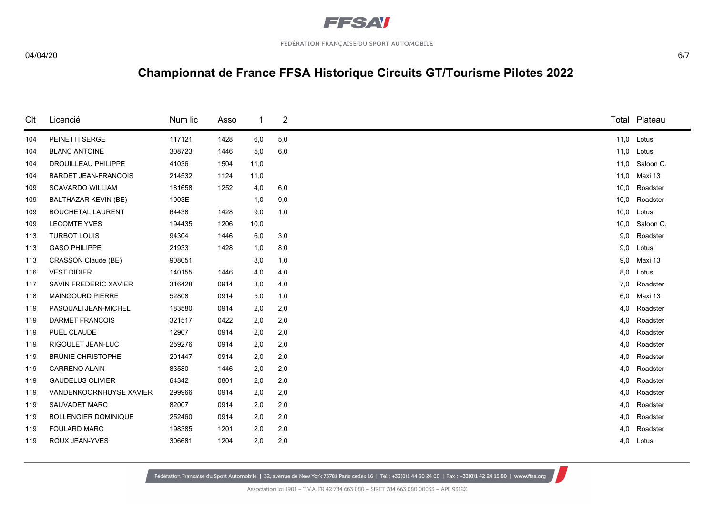

#### 04/04/20 6/7

# **Championnat de France FFSA Historique Circuits GT/Tourisme Pilotes 2022**

| Clt | Licencié                    | Num lic | Asso | -1   | 2   |      | Total Plateau  |
|-----|-----------------------------|---------|------|------|-----|------|----------------|
| 104 | PEINETTI SERGE              | 117121  | 1428 | 6,0  | 5,0 |      | 11,0 Lotus     |
| 104 | <b>BLANC ANTOINE</b>        | 308723  | 1446 | 5,0  | 6,0 | 11,0 | Lotus          |
| 104 | DROUILLEAU PHILIPPE         | 41036   | 1504 | 11,0 |     |      | 11,0 Saloon C. |
| 104 | <b>BARDET JEAN-FRANCOIS</b> | 214532  | 1124 | 11,0 |     | 11,0 | Maxi 13        |
| 109 | <b>SCAVARDO WILLIAM</b>     | 181658  | 1252 | 4,0  | 6,0 | 10,0 | Roadster       |
| 109 | <b>BALTHAZAR KEVIN (BE)</b> | 1003E   |      | 1,0  | 9,0 | 10,0 | Roadster       |
| 109 | <b>BOUCHETAL LAURENT</b>    | 64438   | 1428 | 9,0  | 1,0 | 10,0 | Lotus          |
| 109 | <b>LECOMTE YVES</b>         | 194435  | 1206 | 10,0 |     | 10,0 | Saloon C.      |
| 113 | <b>TURBOT LOUIS</b>         | 94304   | 1446 | 6,0  | 3,0 | 9,0  | Roadster       |
| 113 | <b>GASO PHILIPPE</b>        | 21933   | 1428 | 1,0  | 8,0 | 9,0  | Lotus          |
| 113 | CRASSON Claude (BE)         | 908051  |      | 8,0  | 1,0 | 9,0  | Maxi 13        |
| 116 | <b>VEST DIDIER</b>          | 140155  | 1446 | 4,0  | 4,0 | 8,0  | Lotus          |
| 117 | SAVIN FREDERIC XAVIER       | 316428  | 0914 | 3,0  | 4,0 | 7,0  | Roadster       |
| 118 | <b>MAINGOURD PIERRE</b>     | 52808   | 0914 | 5,0  | 1,0 | 6,0  | Maxi 13        |
| 119 | PASQUALI JEAN-MICHEL        | 183580  | 0914 | 2,0  | 2,0 | 4,0  | Roadster       |
| 119 | <b>DARMET FRANCOIS</b>      | 321517  | 0422 | 2,0  | 2,0 | 4,0  | Roadster       |
| 119 | PUEL CLAUDE                 | 12907   | 0914 | 2,0  | 2,0 | 4,0  | Roadster       |
| 119 | RIGOULET JEAN-LUC           | 259276  | 0914 | 2,0  | 2,0 | 4,0  | Roadster       |
| 119 | <b>BRUNIE CHRISTOPHE</b>    | 201447  | 0914 | 2,0  | 2,0 | 4,0  | Roadster       |
| 119 | <b>CARRENO ALAIN</b>        | 83580   | 1446 | 2,0  | 2,0 | 4,0  | Roadster       |
| 119 | <b>GAUDELUS OLIVIER</b>     | 64342   | 0801 | 2,0  | 2,0 | 4,0  | Roadster       |
| 119 | VANDENKOORNHUYSE XAVIER     | 299966  | 0914 | 2,0  | 2,0 | 4,0  | Roadster       |
| 119 | SAUVADET MARC               | 82007   | 0914 | 2,0  | 2,0 | 4,0  | Roadster       |
| 119 | <b>BOLLENGIER DOMINIQUE</b> | 252460  | 0914 | 2,0  | 2,0 | 4,0  | Roadster       |
| 119 | <b>FOULARD MARC</b>         | 198385  | 1201 | 2,0  | 2,0 | 4,0  | Roadster       |
| 119 | ROUX JEAN-YVES              | 306681  | 1204 | 2,0  | 2,0 | 4,0  | Lotus          |